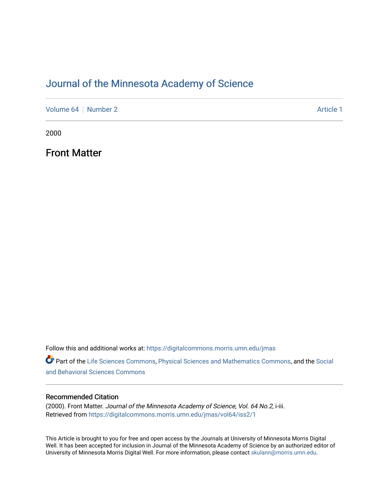### [Journal of the Minnesota Academy of Science](https://digitalcommons.morris.umn.edu/jmas)

[Volume 64](https://digitalcommons.morris.umn.edu/jmas/vol64) [Number 2](https://digitalcommons.morris.umn.edu/jmas/vol64/iss2) Article 1

2000

Front Matter

Follow this and additional works at: [https://digitalcommons.morris.umn.edu/jmas](https://digitalcommons.morris.umn.edu/jmas?utm_source=digitalcommons.morris.umn.edu%2Fjmas%2Fvol64%2Fiss2%2F1&utm_medium=PDF&utm_campaign=PDFCoverPages) 

Part of the [Life Sciences Commons,](https://network.bepress.com/hgg/discipline/1016?utm_source=digitalcommons.morris.umn.edu%2Fjmas%2Fvol64%2Fiss2%2F1&utm_medium=PDF&utm_campaign=PDFCoverPages) [Physical Sciences and Mathematics Commons,](https://network.bepress.com/hgg/discipline/114?utm_source=digitalcommons.morris.umn.edu%2Fjmas%2Fvol64%2Fiss2%2F1&utm_medium=PDF&utm_campaign=PDFCoverPages) and the [Social](https://network.bepress.com/hgg/discipline/316?utm_source=digitalcommons.morris.umn.edu%2Fjmas%2Fvol64%2Fiss2%2F1&utm_medium=PDF&utm_campaign=PDFCoverPages)  [and Behavioral Sciences Commons](https://network.bepress.com/hgg/discipline/316?utm_source=digitalcommons.morris.umn.edu%2Fjmas%2Fvol64%2Fiss2%2F1&utm_medium=PDF&utm_campaign=PDFCoverPages) 

#### Recommended Citation

(2000). Front Matter. Journal of the Minnesota Academy of Science, Vol. 64 No.2, i-iii. Retrieved from [https://digitalcommons.morris.umn.edu/jmas/vol64/iss2/1](https://digitalcommons.morris.umn.edu/jmas/vol64/iss2/1?utm_source=digitalcommons.morris.umn.edu%2Fjmas%2Fvol64%2Fiss2%2F1&utm_medium=PDF&utm_campaign=PDFCoverPages)

This Article is brought to you for free and open access by the Journals at University of Minnesota Morris Digital Well. It has been accepted for inclusion in Journal of the Minnesota Academy of Science by an authorized editor of University of Minnesota Morris Digital Well. For more information, please contact [skulann@morris.umn.edu](mailto:skulann@morris.umn.edu).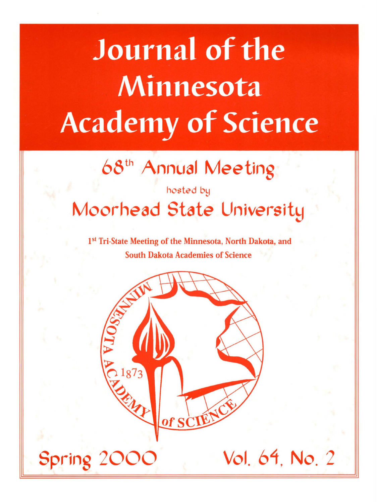# **Journal of the Minnesota Academy of Science**

# 68th Annual Meeting

# hosted by Moorhead State University

1<sup>st</sup> Tri-State Meeting of the Minnesota, North Dakota, and South Dakota Academies of Science

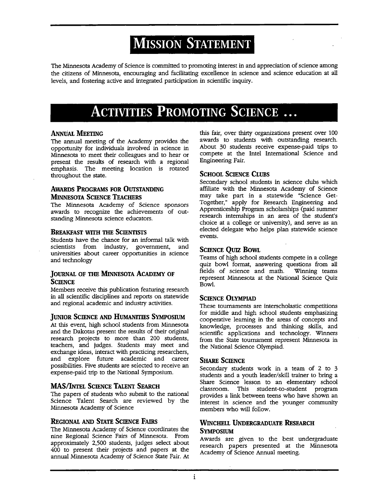# **MISSION STATEMENT** <sup>I</sup>

The Minnesota Academy of Science is committed to promoting interest in and appreciation of science among the citizens of Minnesota, encouraging and facilitating excellence in science and science education at all levels, and fostering active and integrated participation in scientific inquiry.

# **ACTIVITIES PROMOTING SCIENCE** ...

#### **ANNUAL MEETING**

The annual meeting of the Academy provides the opportunity for individuals involved in science in Minnesota to meet their colleagues and to hear or present the results of research with a regional emphasis. The meeting location is rotated throughout the state.

#### **AWARDS PROGRAMS FOR OUTSTANDING MINNESOTA SCIENCE TEACHERS**

The Minnesota Academy of Science sponsors awards to recognize the achievements of outstanding Minnesota science educators.

#### **BREAKFAST WITH THE SCIENTISTS**

Students have the chance for an informal talk with scientists from industry, government, and universities about career opportunities in science and technology

#### **JOURNAL OF THE MINNESOTA ACADEMY OF SCIENCE**

Members receive this publication featuring research in all scientific disciplines and reports on statewide and regional academic and industry activities.

#### **JUNIOR SCIENCE AND HUMANITIES SYMPOSIUM**

At this event, high school students from Minnesota and the Dakotas present the results of their original research projects to more than 200 students, teachers, and judges. Students may meet and exchange ideas, interact with practicing researchers, and explore future academic and career possibilities. Five students are selected to receive an expense-paid trip to the National Symposium.

#### **MAS/INTEL SCIENCE TALENT SEARCH**

The papers of students who submit to the national Science Talent Search are reviewed by the Minnesota Academy of Science

#### **REGIONAL AND STATE SCIENCE FAIRS**

The Minnesota Academy of Science coordinates the nine Regional Science Fairs of Minnesota. From approximately 2,500 students, judges select about 400 to present their projects and papers at the annual Minnesota Academy of Science State Fair. At this fair, over thirty organizations present over 100 awards to students with outstanding research. About 30 students receive expense-paid trips to compete at the Intel International Science and Engineering Fair.

#### **SCHOOL SCIENCE Cums**

Secondary school students in science clubs which affiliate with the Minnesota Academy of Science may take part in a statewide "Science Get-Together," apply for Research Engineering and Apprenticeship Program scholarships (paid summer research internships in an area of the student's choice at a college or university), and serve as an elected delegate who helps plan statewide science events.

#### **SCIENCE QUIZ BOWL**

Teams of high school students compete in a college quiz bowl format, answering questions from all fields of science and math. Winning teams represent Minnesota at the National Science Quiz Bowl.

#### **SCIENCE OLYMPIAD**

These tournaments are interscholastic competitions for middle and high school students emphasizing cooperative learning in the areas of concepts and knowledge, processes and thinking skills, and scientific applications and technology. Winners from the State tournament represent Minnesota in the National Science Olympiad.

#### **SHARE SCIENCE**

Secondary students work in a team of 2 to 3 students and a youth leader/skill trainer to bring a Share Science lesson to an elementary school classroom. This student-to-student program provides a link between teens who have shown an interest in science and the younger community members who will follow.

#### **WINCHELL UNDERGRADUATE REsEARCH SYMPOSIUM**

Awards are given to the best undergraduate research papers presented at the Minnesota Academy of Science Annual meeting.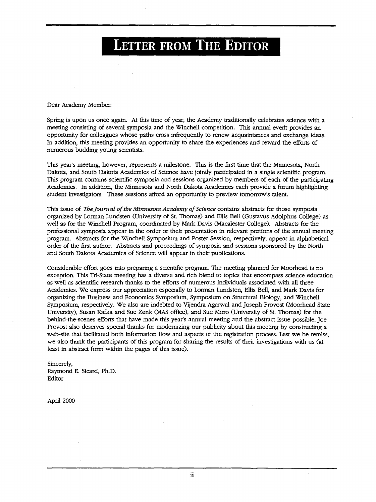# **LETTER FROM THE EDITOR**

Dear Academy Member:

Spring is upon us once again. At this time of year, the Academy traditionally celebrates science with a meeting consisting of several symposia and the Winchell competition. This annual evertt provides an opportunity for colleagues whose paths cross infrequently to renew acquaintances and exchange ideas. In addition, this meeting provides an opportunity to share the experiences and reward the efforts of numerous budding young scientists.

This year's meeting, however, represents a milestone. This is the first time that the Minnesota, North Dakota, and South Dakota Academies of Science have jointly participated in a single scientific program. This program contains scientific symposia and sessions organized by members of each of the participating Academies. In addition, the Minnesota and North Dakota Academies each provide a forum highlighting student investigators. These sessions afford an opportunity to preview tomorrow's talent.

This issue of *Tbe Journal of the Minnesota Academy of Science* contains abstracts for those symposia organized by Lorman Lundsten (University of St. Thomas) and Ellis Bell (Gustavus Adolphus College) as well as for the Winchell Program, coordinated by Mark Davis (Macalester College). Abstracts for the professional symposia appear in the order or their presentation in relevant portions of the annual meeting program. Abstracts for the Winchell Symposium and Poster Session, respectively, appear in alphabetical order of the first author. Abstracts and proceedings of symposia and sessions sponsored by the North and South Dakota Academies of Science will appear in their publications.

Considerable effort goes into preparing a scientific program. The meeting planned for Moorhead is no exception. This Tri-State meeting has a diverse and rich blend to topics that encompass science education as well as scientific research thanks to the efforts of numerous individuals associated with all three Academies. We express our appreciation especially to Lorman Lundsten, Ellis Bell, and Mark Davis for organizing the Business and Economics Symposium, Symposium on Structural Biology, and Winchell Symposium, respectively. We also are indebted to Vijendra Agarwal and Joseph Provost (Moorhead State University), Susan Kafka and Sue Zenk (MAS office), and Sue Moro (University of St. Thomas) for the behind-the-scenes efforts that have made this year's annual meeting and the abstract issue possible. Joe Provost also deserves special thanks for modernizing our publicity about this meeting by constructing a web-site that facilitated both information flow and aspects of the registration process. Lest we be remiss, we also thank the participants of this program for sharing the results of their investigations with us (at least in abstract form within the pages of this issue).

Sincerely, Raymond E. Sicard, Ph.D. Editor

April 2000